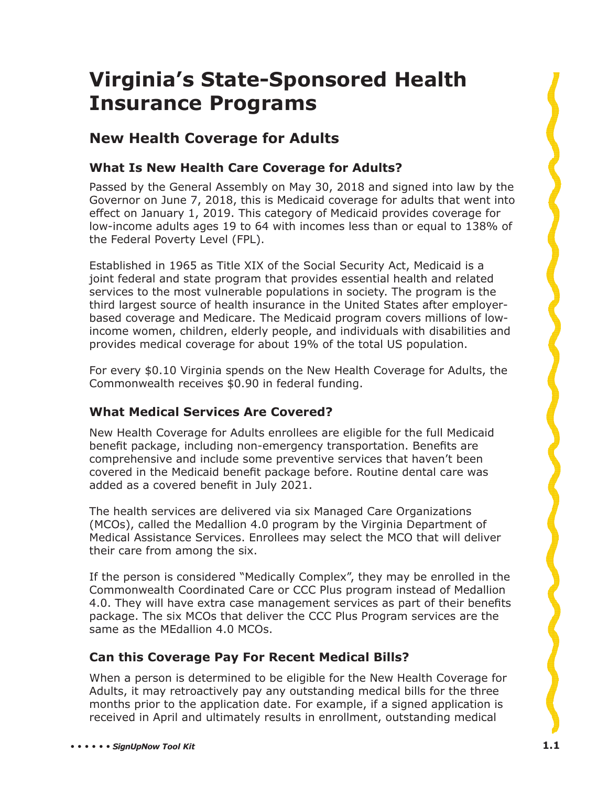# **Virginia's State-Sponsored Health Insurance Programs**

# **New Health Coverage for Adults**

# **What Is New Health Care Coverage for Adults?**

Passed by the General Assembly on May 30, 2018 and signed into law by the Governor on June 7, 2018, this is Medicaid coverage for adults that went into effect on January 1, 2019. This category of Medicaid provides coverage for low-income adults ages 19 to 64 with incomes less than or equal to 138% of the Federal Poverty Level (FPL).

Established in 1965 as Title XIX of the Social Security Act, Medicaid is a joint federal and state program that provides essential health and related services to the most vulnerable populations in society. The program is the third largest source of health insurance in the United States after employerbased coverage and Medicare. The Medicaid program covers millions of lowincome women, children, elderly people, and individuals with disabilities and provides medical coverage for about 19% of the total US population.

For every \$0.10 Virginia spends on the New Health Coverage for Adults, the Commonwealth receives \$0.90 in federal funding.

# **What Medical Services Are Covered?**

New Health Coverage for Adults enrollees are eligible for the full Medicaid benefit package, including non-emergency transportation. Benefits are comprehensive and include some preventive services that haven't been covered in the Medicaid benefit package before. Routine dental care was added as a covered benefit in July 2021.

The health services are delivered via six Managed Care Organizations (MCOs), called the Medallion 4.0 program by the Virginia Department of Medical Assistance Services. Enrollees may select the MCO that will deliver their care from among the six.

If the person is considered "Medically Complex", they may be enrolled in the Commonwealth Coordinated Care or CCC Plus program instead of Medallion 4.0. They will have extra case management services as part of their benefits package. The six MCOs that deliver the CCC Plus Program services are the same as the MEdallion 4.0 MCOs.

# **Can this Coverage Pay For Recent Medical Bills?**

When a person is determined to be eligible for the New Health Coverage for Adults, it may retroactively pay any outstanding medical bills for the three months prior to the application date. For example, if a signed application is received in April and ultimately results in enrollment, outstanding medical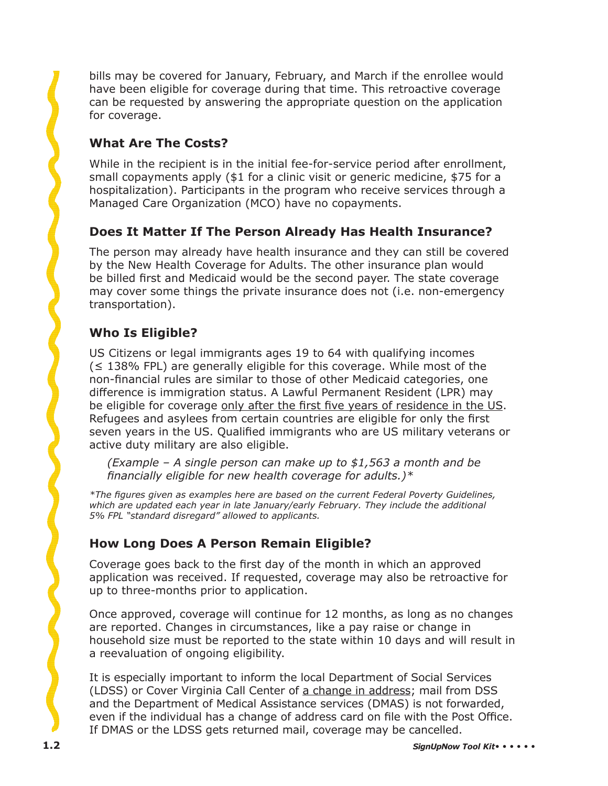bills may be covered for January, February, and March if the enrollee would have been eligible for coverage during that time. This retroactive coverage can be requested by answering the appropriate question on the application for coverage.

# **What Are The Costs?**

While in the recipient is in the initial fee-for-service period after enrollment, small copayments apply (\$1 for a clinic visit or generic medicine, \$75 for a hospitalization). Participants in the program who receive services through a Managed Care Organization (MCO) have no copayments.

# **Does It Matter If The Person Already Has Health Insurance?**

The person may already have health insurance and they can still be covered by the New Health Coverage for Adults. The other insurance plan would be billed first and Medicaid would be the second payer. The state coverage may cover some things the private insurance does not (i.e. non-emergency transportation).

# **Who Is Eligible?**

US Citizens or legal immigrants ages 19 to 64 with qualifying incomes (≤ 138% FPL) are generally eligible for this coverage. While most of the non-financial rules are similar to those of other Medicaid categories, one difference is immigration status. A Lawful Permanent Resident (LPR) may be eligible for coverage only after the first five years of residence in the US. Refugees and asylees from certain countries are eligible for only the first seven years in the US. Qualified immigrants who are US military veterans or active duty military are also eligible.

*(Example – A single person can make up to \$1,563 a month and be*  financially eligible for new health coverage for adults.)<sup>\*</sup>

*\*The fi gures given as examples here are based on the current Federal Poverty Guidelines,*  which are updated each year in late January/early February. They include the additional *5% FPL "standard disregard" allowed to applicants.*

# **How Long Does A Person Remain Eligible?**

Coverage goes back to the first day of the month in which an approved application was received. If requested, coverage may also be retroactive for up to three-months prior to application.

Once approved, coverage will continue for 12 months, as long as no changes are reported. Changes in circumstances, like a pay raise or change in household size must be reported to the state within 10 days and will result in a reevaluation of ongoing eligibility.

It is especially important to inform the local Department of Social Services (LDSS) or Cover Virginia Call Center of a change in address; mail from DSS and the Department of Medical Assistance services (DMAS) is not forwarded, even if the individual has a change of address card on file with the Post Office. If DMAS or the LDSS gets returned mail, coverage may be cancelled.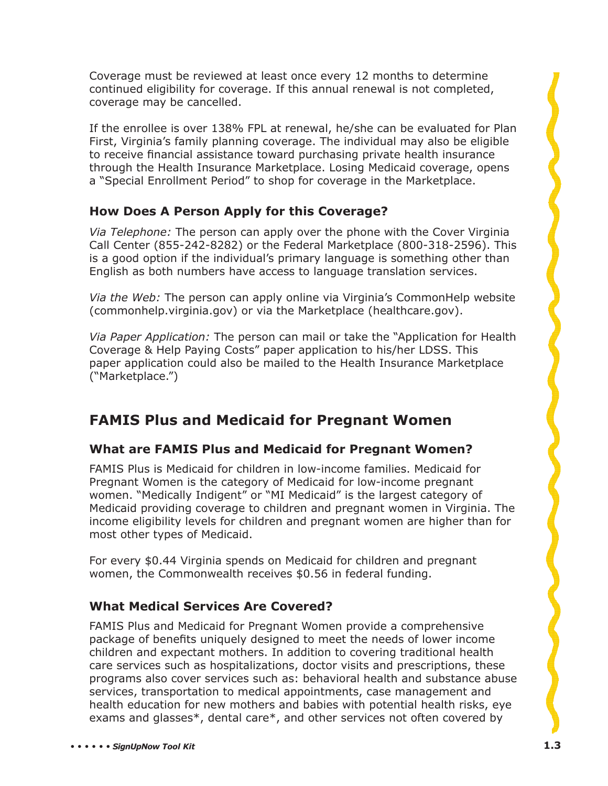Coverage must be reviewed at least once every 12 months to determine continued eligibility for coverage. If this annual renewal is not completed, coverage may be cancelled.

If the enrollee is over 138% FPL at renewal, he/she can be evaluated for Plan First, Virginia's family planning coverage. The individual may also be eligible to receive financial assistance toward purchasing private health insurance through the Health Insurance Marketplace. Losing Medicaid coverage, opens a "Special Enrollment Period" to shop for coverage in the Marketplace.

#### **How Does A Person Apply for this Coverage?**

*Via Telephone:* The person can apply over the phone with the Cover Virginia Call Center (855-242-8282) or the Federal Marketplace (800-318-2596). This is a good option if the individual's primary language is something other than English as both numbers have access to language translation services.

*Via the Web:* The person can apply online via Virginia's CommonHelp website (commonhelp.virginia.gov) or via the Marketplace (healthcare.gov).

*Via Paper Application:* The person can mail or take the "Application for Health Coverage & Help Paying Costs" paper application to his/her LDSS. This paper application could also be mailed to the Health Insurance Marketplace ("Marketplace.")

# **FAMIS Plus and Medicaid for Pregnant Women**

# **What are FAMIS Plus and Medicaid for Pregnant Women?**

FAMIS Plus is Medicaid for children in low-income families. Medicaid for Pregnant Women is the category of Medicaid for low-income pregnant women. "Medically Indigent" or "MI Medicaid" is the largest category of Medicaid providing coverage to children and pregnant women in Virginia. The income eligibility levels for children and pregnant women are higher than for most other types of Medicaid.

For every \$0.44 Virginia spends on Medicaid for children and pregnant women, the Commonwealth receives \$0.56 in federal funding.

# **What Medical Services Are Covered?**

FAMIS Plus and Medicaid for Pregnant Women provide a comprehensive package of benefits uniquely designed to meet the needs of lower income children and expectant mothers. In addition to covering traditional health care services such as hospitalizations, doctor visits and prescriptions, these programs also cover services such as: behavioral health and substance abuse services, transportation to medical appointments, case management and health education for new mothers and babies with potential health risks, eye exams and glasses\*, dental care\*, and other services not often covered by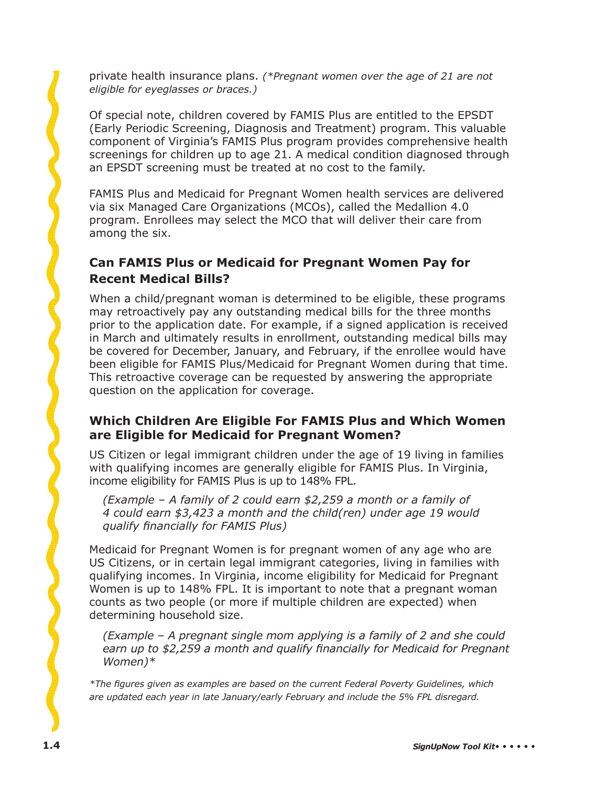private health insurance plans. *(\*Pregnant women over the age of 21 are not eligible for eyeglasses or braces.)* 

Of special note, children covered by FAMIS Plus are entitled to the EPSDT (Early Periodic Screening, Diagnosis and Treatment) program. This valuable component of Virginia's FAMIS Plus program provides comprehensive health screenings for children up to age 21. A medical condition diagnosed through an EPSDT screening must be treated at no cost to the family.

FAMIS Plus and Medicaid for Pregnant Women health services are delivered via six Managed Care Organizations (MCOs), called the Medallion 4.0 program. Enrollees may select the MCO that will deliver their care from among the six.

# **Can FAMIS Plus or Medicaid for Pregnant Women Pay for Recent Medical Bills?**

When a child/pregnant woman is determined to be eligible, these programs may retroactively pay any outstanding medical bills for the three months prior to the application date. For example, if a signed application is received in March and ultimately results in enrollment, outstanding medical bills may be covered for December, January, and February, if the enrollee would have been eligible for FAMIS Plus/Medicaid for Pregnant Women during that time. This retroactive coverage can be requested by answering the appropriate question on the application for coverage.

#### **Which Children Are Eligible For FAMIS Plus and Which Women are Eligible for Medicaid for Pregnant Women?**

US Citizen or legal immigrant children under the age of 19 living in families with qualifying incomes are generally eligible for FAMIS Plus. In Virginia, income eligibility for FAMIS Plus is up to 148% FPL.

*(Example – A family of 2 could earn \$2,259 a month or a family of 4 could earn \$3,423 a month and the child(ren) under age 19 would dualify financially for FAMIS Plus*)

Medicaid for Pregnant Women is for pregnant women of any age who are US Citizens, or in certain legal immigrant categories, living in families with qualifying incomes. In Virginia, income eligibility for Medicaid for Pregnant Women is up to 148% FPL. It is important to note that a pregnant woman counts as two people (or more if multiple children are expected) when determining household size.

*(Example – A pregnant single mom applying is a family of 2 and she could*  earn up to \$2,259 a month and qualify financially for Medicaid for Pregnant *Women)\**

*\*The fi gures given as examples are based on the current Federal Poverty Guidelines, which are updated each year in late January/early February and include the 5% FPL disregard.*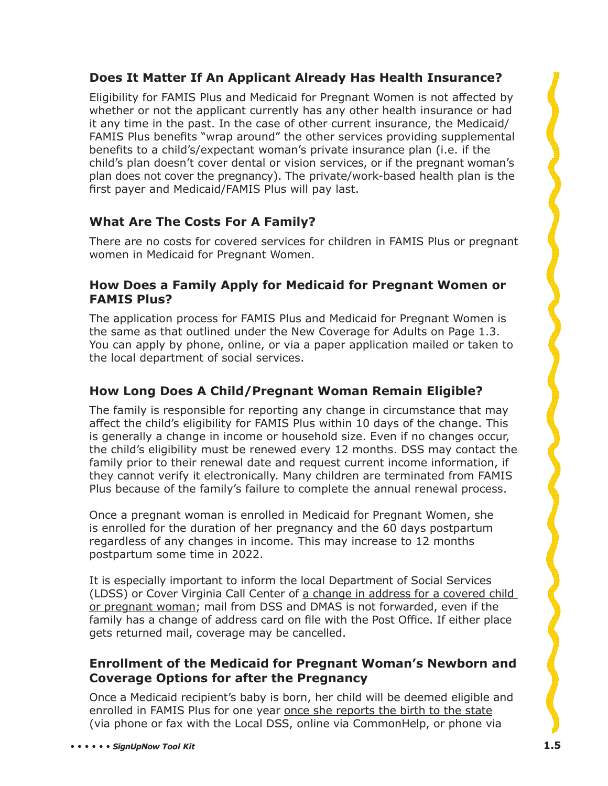# **Does It Matter If An Applicant Already Has Health Insurance?**

Eligibility for FAMIS Plus and Medicaid for Pregnant Women is not affected by whether or not the applicant currently has any other health insurance or had it any time in the past. In the case of other current insurance, the Medicaid/ FAMIS Plus benefits "wrap around" the other services providing supplemental benefits to a child's/expectant woman's private insurance plan (i.e. if the child's plan doesn't cover dental or vision services, or if the pregnant woman's plan does not cover the pregnancy). The private/work-based health plan is the first payer and Medicaid/FAMIS Plus will pay last.

# **What Are The Costs For A Family?**

There are no costs for covered services for children in FAMIS Plus or pregnant women in Medicaid for Pregnant Women.

#### **How Does a Family Apply for Medicaid for Pregnant Women or FAMIS Plus?**

The application process for FAMIS Plus and Medicaid for Pregnant Women is the same as that outlined under the New Coverage for Adults on Page 1.3. You can apply by phone, online, or via a paper application mailed or taken to the local department of social services.

# **How Long Does A Child/Pregnant Woman Remain Eligible?**

The family is responsible for reporting any change in circumstance that may affect the child's eligibility for FAMIS Plus within 10 days of the change. This is generally a change in income or household size. Even if no changes occur, the child's eligibility must be renewed every 12 months. DSS may contact the family prior to their renewal date and request current income information, if they cannot verify it electronically. Many children are terminated from FAMIS Plus because of the family's failure to complete the annual renewal process.

Once a pregnant woman is enrolled in Medicaid for Pregnant Women, she is enrolled for the duration of her pregnancy and the 60 days postpartum regardless of any changes in income. This may increase to 12 months postpartum some time in 2022.

It is especially important to inform the local Department of Social Services (LDSS) or Cover Virginia Call Center of a change in address for a covered child or pregnant woman; mail from DSS and DMAS is not forwarded, even if the family has a change of address card on file with the Post Office. If either place gets returned mail, coverage may be cancelled.

#### **Enrollment of the Medicaid for Pregnant Woman's Newborn and Coverage Options for after the Pregnancy**

Once a Medicaid recipient's baby is born, her child will be deemed eligible and enrolled in FAMIS Plus for one year once she reports the birth to the state (via phone or fax with the Local DSS, online via CommonHelp, or phone via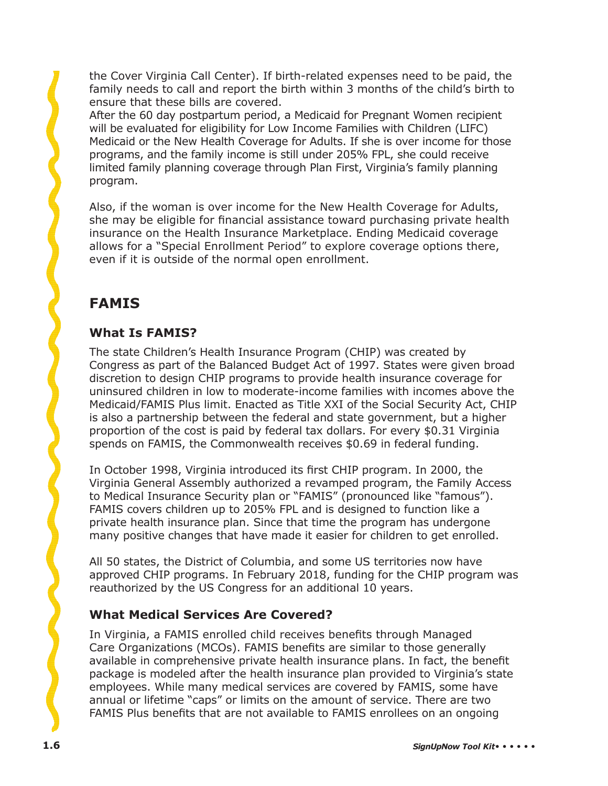the Cover Virginia Call Center). If birth-related expenses need to be paid, the family needs to call and report the birth within 3 months of the child's birth to ensure that these bills are covered.

After the 60 day postpartum period, a Medicaid for Pregnant Women recipient will be evaluated for eligibility for Low Income Families with Children (LIFC) Medicaid or the New Health Coverage for Adults. If she is over income for those programs, and the family income is still under 205% FPL, she could receive limited family planning coverage through Plan First, Virginia's family planning program.

Also, if the woman is over income for the New Health Coverage for Adults, she may be eligible for financial assistance toward purchasing private health insurance on the Health Insurance Marketplace. Ending Medicaid coverage allows for a "Special Enrollment Period" to explore coverage options there, even if it is outside of the normal open enrollment.

# **FAMIS**

# **What Is FAMIS?**

The state Children's Health Insurance Program (CHIP) was created by Congress as part of the Balanced Budget Act of 1997. States were given broad discretion to design CHIP programs to provide health insurance coverage for uninsured children in low to moderate-income families with incomes above the Medicaid/FAMIS Plus limit. Enacted as Title XXI of the Social Security Act, CHIP is also a partnership between the federal and state government, but a higher proportion of the cost is paid by federal tax dollars. For every \$0.31 Virginia spends on FAMIS, the Commonwealth receives \$0.69 in federal funding.

In October 1998, Virginia introduced its first CHIP program. In 2000, the Virginia General Assembly authorized a revamped program, the Family Access to Medical Insurance Security plan or "FAMIS" (pronounced like "famous"). FAMIS covers children up to 205% FPL and is designed to function like a private health insurance plan. Since that time the program has undergone many positive changes that have made it easier for children to get enrolled.

All 50 states, the District of Columbia, and some US territories now have approved CHIP programs. In February 2018, funding for the CHIP program was reauthorized by the US Congress for an additional 10 years.

# **What Medical Services Are Covered?**

In Virginia, a FAMIS enrolled child receives benefits through Managed Care Organizations (MCOs). FAMIS benefits are similar to those generally available in comprehensive private health insurance plans. In fact, the benefit package is modeled after the health insurance plan provided to Virginia's state employees. While many medical services are covered by FAMIS, some have annual or lifetime "caps" or limits on the amount of service. There are two FAMIS Plus benefits that are not available to FAMIS enrollees on an ongoing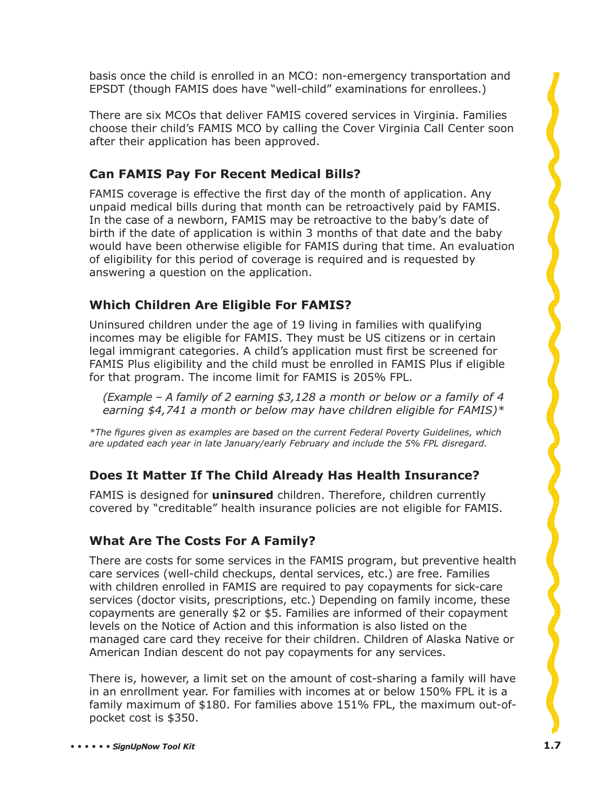basis once the child is enrolled in an MCO: non-emergency transportation and EPSDT (though FAMIS does have "well-child" examinations for enrollees.)

There are six MCOs that deliver FAMIS covered services in Virginia. Families choose their child's FAMIS MCO by calling the Cover Virginia Call Center soon after their application has been approved.

# **Can FAMIS Pay For Recent Medical Bills?**

FAMIS coverage is effective the first day of the month of application. Any unpaid medical bills during that month can be retroactively paid by FAMIS. In the case of a newborn, FAMIS may be retroactive to the baby's date of birth if the date of application is within 3 months of that date and the baby would have been otherwise eligible for FAMIS during that time. An evaluation of eligibility for this period of coverage is required and is requested by answering a question on the application.

# **Which Children Are Eligible For FAMIS?**

Uninsured children under the age of 19 living in families with qualifying incomes may be eligible for FAMIS. They must be US citizens or in certain legal immigrant categories. A child's application must first be screened for FAMIS Plus eligibility and the child must be enrolled in FAMIS Plus if eligible for that program. The income limit for FAMIS is 205% FPL.

*(Example – A family of 2 earning \$3,128 a month or below or a family of 4 earning \$4,741 a month or below may have children eligible for FAMIS)\** 

*\*The fi gures given as examples are based on the current Federal Poverty Guidelines, which are updated each year in late January/early February and include the 5% FPL disregard.* 

# **Does It Matter If The Child Already Has Health Insurance?**

FAMIS is designed for **uninsured** children. Therefore, children currently covered by "creditable" health insurance policies are not eligible for FAMIS.

# **What Are The Costs For A Family?**

There are costs for some services in the FAMIS program, but preventive health care services (well-child checkups, dental services, etc.) are free. Families with children enrolled in FAMIS are required to pay copayments for sick-care services (doctor visits, prescriptions, etc.) Depending on family income, these copayments are generally \$2 or \$5. Families are informed of their copayment levels on the Notice of Action and this information is also listed on the managed care card they receive for their children. Children of Alaska Native or American Indian descent do not pay copayments for any services.

There is, however, a limit set on the amount of cost-sharing a family will have in an enrollment year. For families with incomes at or below 150% FPL it is a family maximum of \$180. For families above 151% FPL, the maximum out-ofpocket cost is \$350.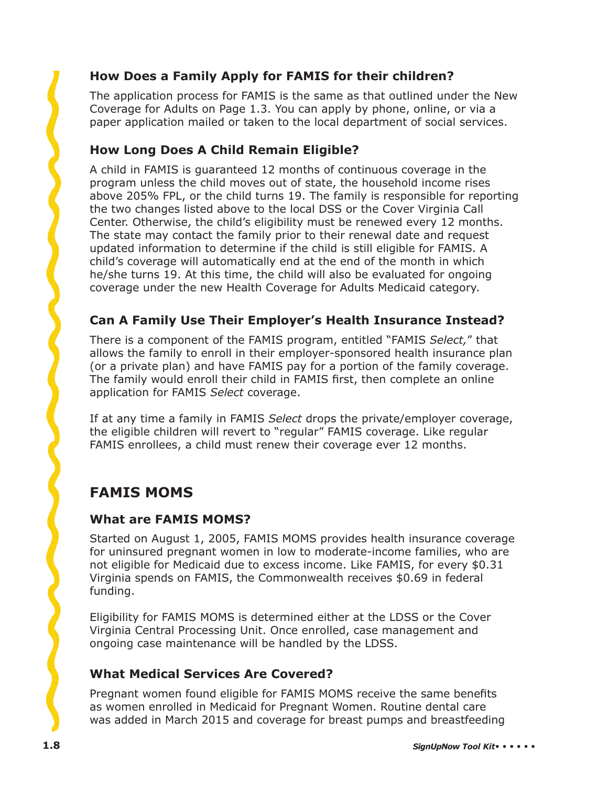# **How Does a Family Apply for FAMIS for their children?**

The application process for FAMIS is the same as that outlined under the New Coverage for Adults on Page 1.3. You can apply by phone, online, or via a paper application mailed or taken to the local department of social services.

# **How Long Does A Child Remain Eligible?**

A child in FAMIS is guaranteed 12 months of continuous coverage in the program unless the child moves out of state, the household income rises above 205% FPL, or the child turns 19. The family is responsible for reporting the two changes listed above to the local DSS or the Cover Virginia Call Center. Otherwise, the child's eligibility must be renewed every 12 months. The state may contact the family prior to their renewal date and request updated information to determine if the child is still eligible for FAMIS. A child's coverage will automatically end at the end of the month in which he/she turns 19. At this time, the child will also be evaluated for ongoing coverage under the new Health Coverage for Adults Medicaid category.

#### **Can A Family Use Their Employer's Health Insurance Instead?**

There is a component of the FAMIS program, entitled "FAMIS *Select,*" that allows the family to enroll in their employer-sponsored health insurance plan (or a private plan) and have FAMIS pay for a portion of the family coverage. The family would enroll their child in FAMIS first, then complete an online application for FAMIS *Select* coverage.

If at any time a family in FAMIS *Select* drops the private/employer coverage, the eligible children will revert to "regular" FAMIS coverage. Like regular FAMIS enrollees, a child must renew their coverage ever 12 months.

# **FAMIS MOMS**

#### **What are FAMIS MOMS?**

Started on August 1, 2005, FAMIS MOMS provides health insurance coverage for uninsured pregnant women in low to moderate-income families, who are not eligible for Medicaid due to excess income. Like FAMIS, for every \$0.31 Virginia spends on FAMIS, the Commonwealth receives \$0.69 in federal funding.

Eligibility for FAMIS MOMS is determined either at the LDSS or the Cover Virginia Central Processing Unit. Once enrolled, case management and ongoing case maintenance will be handled by the LDSS.

# **What Medical Services Are Covered?**

Pregnant women found eligible for FAMIS MOMS receive the same benefits as women enrolled in Medicaid for Pregnant Women. Routine dental care was added in March 2015 and coverage for breast pumps and breastfeeding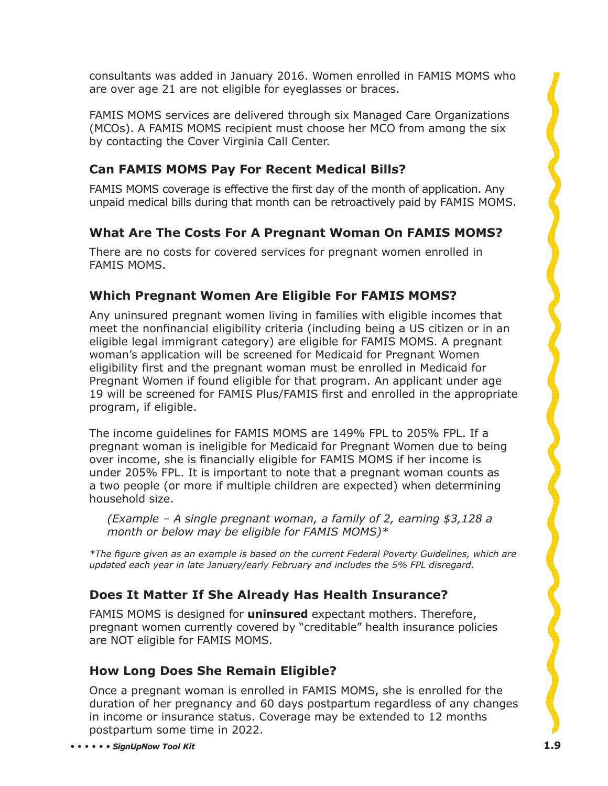consultants was added in January 2016. Women enrolled in FAMIS MOMS who are over age 21 are not eligible for eyeglasses or braces.

FAMIS MOMS services are delivered through six Managed Care Organizations (MCOs). A FAMIS MOMS recipient must choose her MCO from among the six by contacting the Cover Virginia Call Center.

# **Can FAMIS MOMS Pay For Recent Medical Bills?**

FAMIS MOMS coverage is effective the first day of the month of application. Any unpaid medical bills during that month can be retroactively paid by FAMIS MOMS.

#### **What Are The Costs For A Pregnant Woman On FAMIS MOMS?**

There are no costs for covered services for pregnant women enrolled in FAMIS MOMS.

#### **Which Pregnant Women Are Eligible For FAMIS MOMS?**

Any uninsured pregnant women living in families with eligible incomes that meet the nonfinancial eligibility criteria (including being a US citizen or in an eligible legal immigrant category) are eligible for FAMIS MOMS. A pregnant woman's application will be screened for Medicaid for Pregnant Women eligibility first and the pregnant woman must be enrolled in Medicaid for Pregnant Women if found eligible for that program. An applicant under age 19 will be screened for FAMIS Plus/FAMIS first and enrolled in the appropriate program, if eligible.

The income guidelines for FAMIS MOMS are 149% FPL to 205% FPL. If a pregnant woman is ineligible for Medicaid for Pregnant Women due to being over income, she is financially eligible for FAMIS MOMS if her income is under 205% FPL. It is important to note that a pregnant woman counts as a two people (or more if multiple children are expected) when determining household size.

*(Example – A single pregnant woman, a family of 2, earning \$3,128 a month or below may be eligible for FAMIS MOMS)\**

*\*The fi gure given as an example is based on the current Federal Poverty Guidelines, which are updated each year in late January/early February and includes the 5% FPL disregard.* 

# **Does It Matter If She Already Has Health Insurance?**

FAMIS MOMS is designed for **uninsured** expectant mothers. Therefore, pregnant women currently covered by "creditable" health insurance policies are NOT eligible for FAMIS MOMS.

#### **How Long Does She Remain Eligible?**

Once a pregnant woman is enrolled in FAMIS MOMS, she is enrolled for the duration of her pregnancy and 60 days postpartum regardless of any changes in income or insurance status. Coverage may be extended to 12 months postpartum some time in 2022.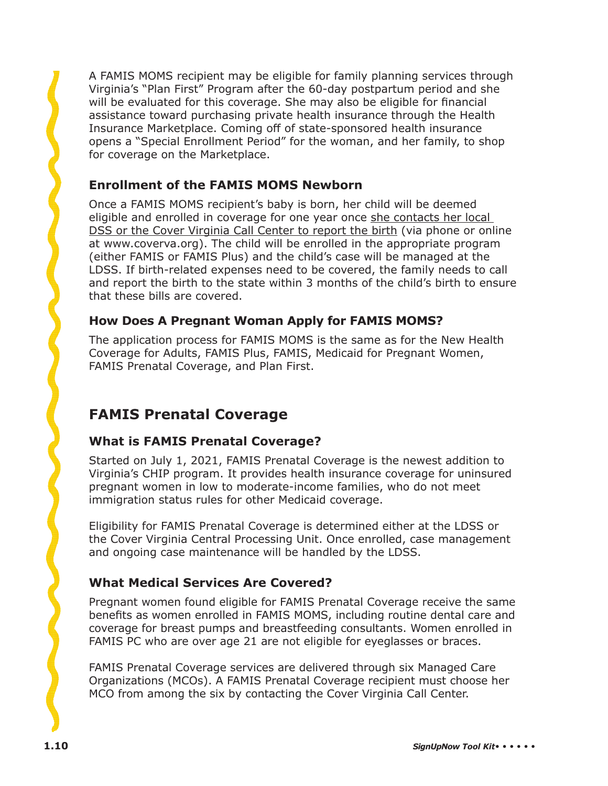A FAMIS MOMS recipient may be eligible for family planning services through Virginia's "Plan First" Program after the 60-day postpartum period and she will be evaluated for this coverage. She may also be eligible for financial assistance toward purchasing private health insurance through the Health Insurance Marketplace. Coming off of state-sponsored health insurance opens a "Special Enrollment Period" for the woman, and her family, to shop for coverage on the Marketplace.

# **Enrollment of the FAMIS MOMS Newborn**

Once a FAMIS MOMS recipient's baby is born, her child will be deemed eligible and enrolled in coverage for one year once she contacts her local DSS or the Cover Virginia Call Center to report the birth (via phone or online at www.coverva.org). The child will be enrolled in the appropriate program (either FAMIS or FAMIS Plus) and the child's case will be managed at the LDSS. If birth-related expenses need to be covered, the family needs to call and report the birth to the state within 3 months of the child's birth to ensure that these bills are covered.

# **How Does A Pregnant Woman Apply for FAMIS MOMS?**

The application process for FAMIS MOMS is the same as for the New Health Coverage for Adults, FAMIS Plus, FAMIS, Medicaid for Pregnant Women, FAMIS Prenatal Coverage, and Plan First.

# **FAMIS Prenatal Coverage**

# **What is FAMIS Prenatal Coverage?**

Started on July 1, 2021, FAMIS Prenatal Coverage is the newest addition to Virginia's CHIP program. It provides health insurance coverage for uninsured pregnant women in low to moderate-income families, who do not meet immigration status rules for other Medicaid coverage.

Eligibility for FAMIS Prenatal Coverage is determined either at the LDSS or the Cover Virginia Central Processing Unit. Once enrolled, case management and ongoing case maintenance will be handled by the LDSS.

# **What Medical Services Are Covered?**

Pregnant women found eligible for FAMIS Prenatal Coverage receive the same benefits as women enrolled in FAMIS MOMS, including routine dental care and coverage for breast pumps and breastfeeding consultants. Women enrolled in FAMIS PC who are over age 21 are not eligible for eyeglasses or braces.

FAMIS Prenatal Coverage services are delivered through six Managed Care Organizations (MCOs). A FAMIS Prenatal Coverage recipient must choose her MCO from among the six by contacting the Cover Virginia Call Center.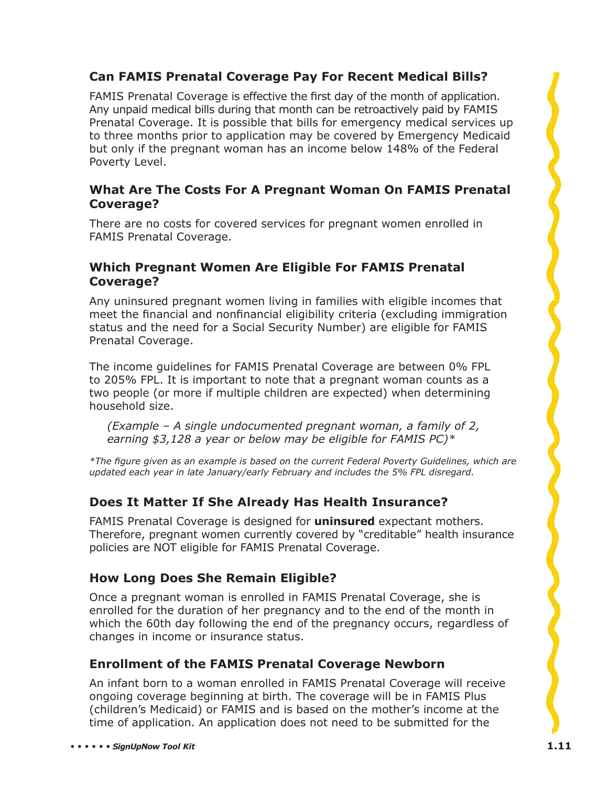# **Can FAMIS Prenatal Coverage Pay For Recent Medical Bills?**

FAMIS Prenatal Coverage is effective the first day of the month of application. Any unpaid medical bills during that month can be retroactively paid by FAMIS Prenatal Coverage. It is possible that bills for emergency medical services up to three months prior to application may be covered by Emergency Medicaid but only if the pregnant woman has an income below 148% of the Federal Poverty Level.

#### **What Are The Costs For A Pregnant Woman On FAMIS Prenatal Coverage?**

There are no costs for covered services for pregnant women enrolled in FAMIS Prenatal Coverage.

#### **Which Pregnant Women Are Eligible For FAMIS Prenatal Coverage?**

Any uninsured pregnant women living in families with eligible incomes that meet the financial and nonfinancial eligibility criteria (excluding immigration status and the need for a Social Security Number) are eligible for FAMIS Prenatal Coverage.

The income guidelines for FAMIS Prenatal Coverage are between 0% FPL to 205% FPL. It is important to note that a pregnant woman counts as a two people (or more if multiple children are expected) when determining household size.

*(Example – A single undocumented pregnant woman, a family of 2, earning \$3,128 a year or below may be eligible for FAMIS PC)\**

*\*The fi gure given as an example is based on the current Federal Poverty Guidelines, which are updated each year in late January/early February and includes the 5% FPL disregard.* 

# **Does It Matter If She Already Has Health Insurance?**

FAMIS Prenatal Coverage is designed for **uninsured** expectant mothers. Therefore, pregnant women currently covered by "creditable" health insurance policies are NOT eligible for FAMIS Prenatal Coverage.

# **How Long Does She Remain Eligible?**

Once a pregnant woman is enrolled in FAMIS Prenatal Coverage, she is enrolled for the duration of her pregnancy and to the end of the month in which the 60th day following the end of the pregnancy occurs, regardless of changes in income or insurance status.

# **Enrollment of the FAMIS Prenatal Coverage Newborn**

An infant born to a woman enrolled in FAMIS Prenatal Coverage will receive ongoing coverage beginning at birth. The coverage will be in FAMIS Plus (children's Medicaid) or FAMIS and is based on the mother's income at the time of application. An application does not need to be submitted for the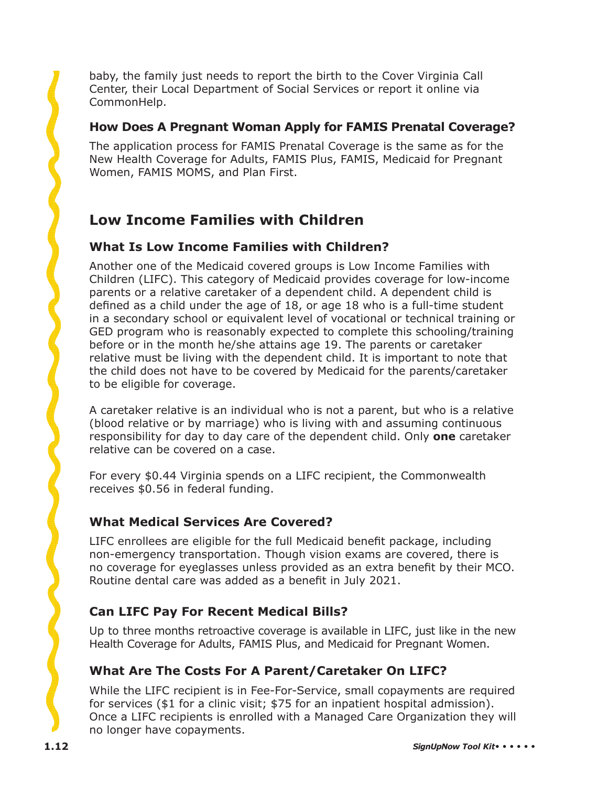baby, the family just needs to report the birth to the Cover Virginia Call Center, their Local Department of Social Services or report it online via CommonHelp.

#### **How Does A Pregnant Woman Apply for FAMIS Prenatal Coverage?**

The application process for FAMIS Prenatal Coverage is the same as for the New Health Coverage for Adults, FAMIS Plus, FAMIS, Medicaid for Pregnant Women, FAMIS MOMS, and Plan First.

# **Low Income Families with Children**

# **What Is Low Income Families with Children?**

Another one of the Medicaid covered groups is Low Income Families with Children (LIFC). This category of Medicaid provides coverage for low-income parents or a relative caretaker of a dependent child. A dependent child is defined as a child under the age of 18, or age 18 who is a full-time student in a secondary school or equivalent level of vocational or technical training or GED program who is reasonably expected to complete this schooling/training before or in the month he/she attains age 19. The parents or caretaker relative must be living with the dependent child. It is important to note that the child does not have to be covered by Medicaid for the parents/caretaker to be eligible for coverage.

A caretaker relative is an individual who is not a parent, but who is a relative (blood relative or by marriage) who is living with and assuming continuous responsibility for day to day care of the dependent child. Only **one** caretaker relative can be covered on a case.

For every \$0.44 Virginia spends on a LIFC recipient, the Commonwealth receives \$0.56 in federal funding.

# **What Medical Services Are Covered?**

LIFC enrollees are eligible for the full Medicaid benefit package, including non-emergency transportation. Though vision exams are covered, there is no coverage for eyeglasses unless provided as an extra benefit by their MCO. Routine dental care was added as a benefit in July 2021.

# **Can LIFC Pay For Recent Medical Bills?**

Up to three months retroactive coverage is available in LIFC, just like in the new Health Coverage for Adults, FAMIS Plus, and Medicaid for Pregnant Women.

# **What Are The Costs For A Parent/Caretaker On LIFC?**

While the LIFC recipient is in Fee-For-Service, small copayments are required for services (\$1 for a clinic visit; \$75 for an inpatient hospital admission). Once a LIFC recipients is enrolled with a Managed Care Organization they will no longer have copayments.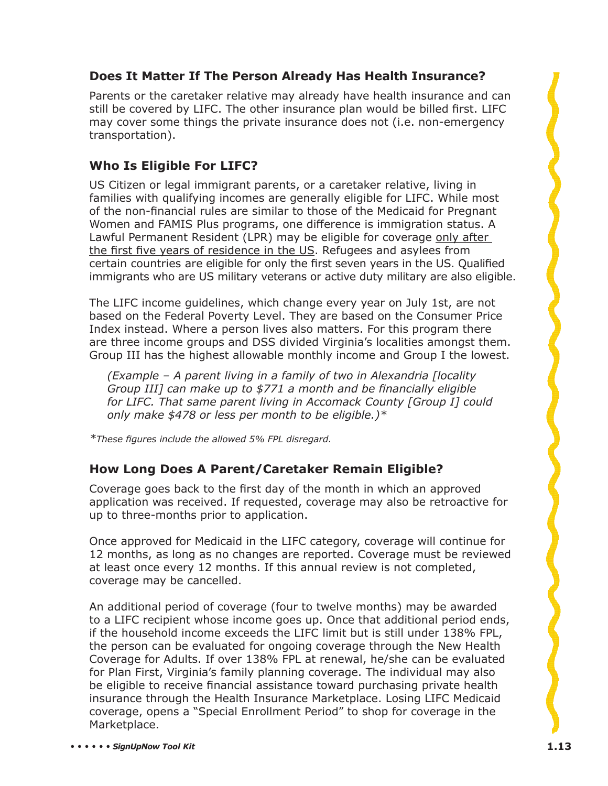# **Does It Matter If The Person Already Has Health Insurance?**

Parents or the caretaker relative may already have health insurance and can still be covered by LIFC. The other insurance plan would be billed first. LIFC may cover some things the private insurance does not (i.e. non-emergency transportation).

# **Who Is Eligible For LIFC?**

US Citizen or legal immigrant parents, or a caretaker relative, living in families with qualifying incomes are generally eligible for LIFC. While most of the non-financial rules are similar to those of the Medicaid for Pregnant Women and FAMIS Plus programs, one difference is immigration status. A Lawful Permanent Resident (LPR) may be eligible for coverage only after the first five years of residence in the US. Refugees and asylees from certain countries are eligible for only the first seven years in the US. Qualified immigrants who are US military veterans or active duty military are also eligible.

The LIFC income guidelines, which change every year on July 1st, are not based on the Federal Poverty Level. They are based on the Consumer Price Index instead. Where a person lives also matters. For this program there are three income groups and DSS divided Virginia's localities amongst them. Group III has the highest allowable monthly income and Group I the lowest.

*(Example – A parent living in a family of two in Alexandria [locality Group III] can make up to \$771 a month and be financially eligible for LIFC. That same parent living in Accomack County [Group I] could only make \$478 or less per month to be eligible.)\**

*\*These fi gures include the allowed 5% FPL disregard.*

# **How Long Does A Parent/Caretaker Remain Eligible?**

Coverage goes back to the first day of the month in which an approved application was received. If requested, coverage may also be retroactive for up to three-months prior to application.

Once approved for Medicaid in the LIFC category, coverage will continue for 12 months, as long as no changes are reported. Coverage must be reviewed at least once every 12 months. If this annual review is not completed, coverage may be cancelled.

An additional period of coverage (four to twelve months) may be awarded to a LIFC recipient whose income goes up. Once that additional period ends, if the household income exceeds the LIFC limit but is still under 138% FPL, the person can be evaluated for ongoing coverage through the New Health Coverage for Adults. If over 138% FPL at renewal, he/she can be evaluated for Plan First, Virginia's family planning coverage. The individual may also be eligible to receive financial assistance toward purchasing private health insurance through the Health Insurance Marketplace. Losing LIFC Medicaid coverage, opens a "Special Enrollment Period" to shop for coverage in the Marketplace.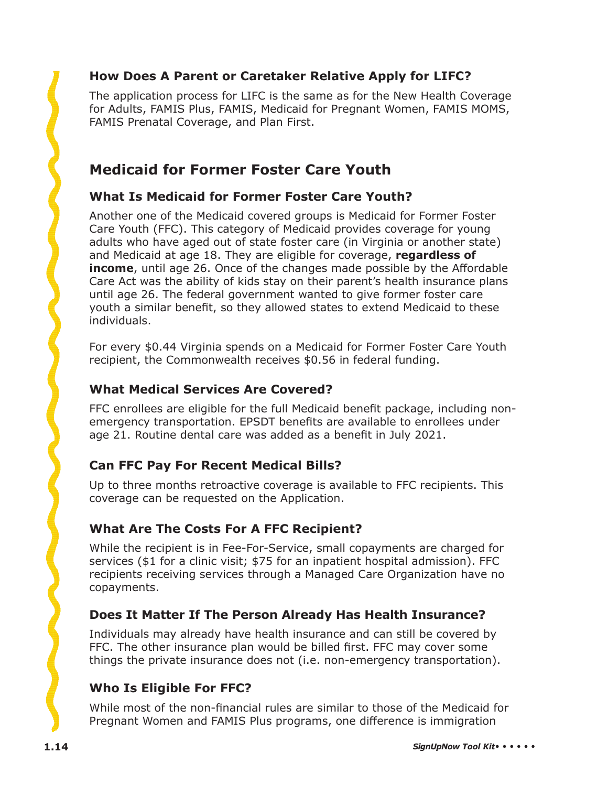# **How Does A Parent or Caretaker Relative Apply for LIFC?**

The application process for LIFC is the same as for the New Health Coverage for Adults, FAMIS Plus, FAMIS, Medicaid for Pregnant Women, FAMIS MOMS, FAMIS Prenatal Coverage, and Plan First.

# **Medicaid for Former Foster Care Youth**

#### **What Is Medicaid for Former Foster Care Youth?**

Another one of the Medicaid covered groups is Medicaid for Former Foster Care Youth (FFC). This category of Medicaid provides coverage for young adults who have aged out of state foster care (in Virginia or another state) and Medicaid at age 18. They are eligible for coverage, **regardless of income**, until age 26. Once of the changes made possible by the Affordable Care Act was the ability of kids stay on their parent's health insurance plans until age 26. The federal government wanted to give former foster care youth a similar benefit, so they allowed states to extend Medicaid to these individuals.

For every \$0.44 Virginia spends on a Medicaid for Former Foster Care Youth recipient, the Commonwealth receives \$0.56 in federal funding.

#### **What Medical Services Are Covered?**

FFC enrollees are eligible for the full Medicaid benefit package, including nonemergency transportation. EPSDT benefits are available to enrollees under age 21. Routine dental care was added as a benefit in July 2021.

# **Can FFC Pay For Recent Medical Bills?**

Up to three months retroactive coverage is available to FFC recipients. This coverage can be requested on the Application.

# **What Are The Costs For A FFC Recipient?**

While the recipient is in Fee-For-Service, small copayments are charged for services (\$1 for a clinic visit; \$75 for an inpatient hospital admission). FFC recipients receiving services through a Managed Care Organization have no copayments.

#### **Does It Matter If The Person Already Has Health Insurance?**

Individuals may already have health insurance and can still be covered by FFC. The other insurance plan would be billed first. FFC may cover some things the private insurance does not (i.e. non-emergency transportation).

# **Who Is Eligible For FFC?**

While most of the non-financial rules are similar to those of the Medicaid for Pregnant Women and FAMIS Plus programs, one difference is immigration